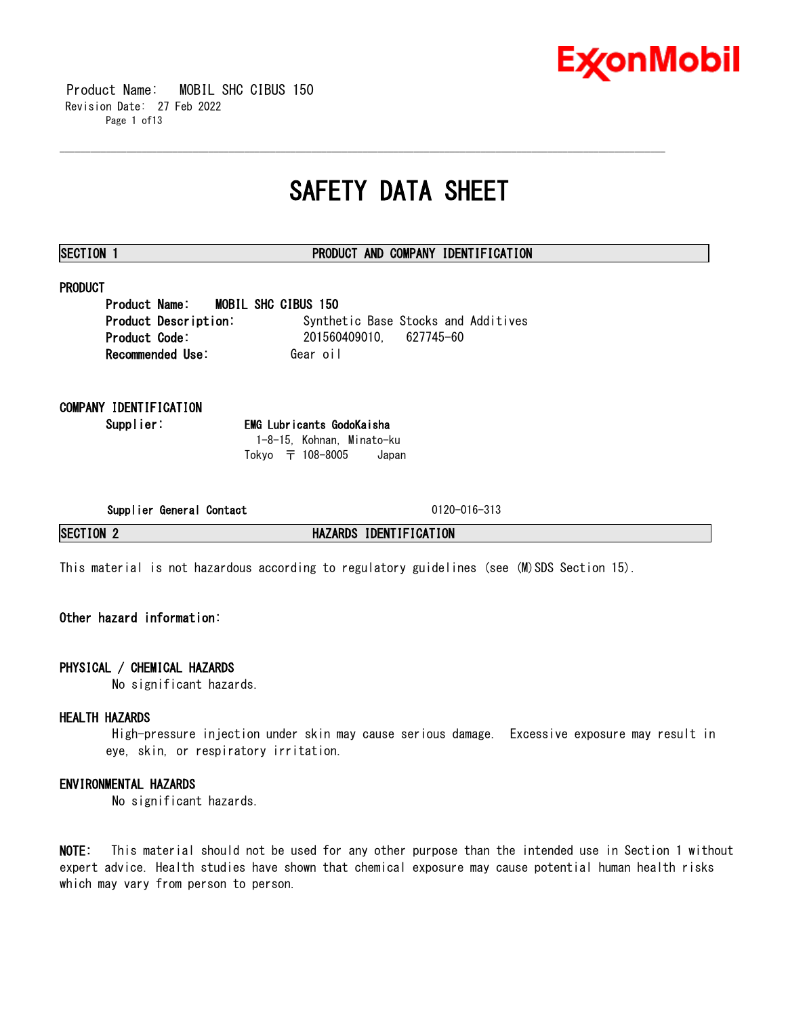

 Product Name: MOBIL SHC CIBUS 150 Revision Date: 27 Feb 2022 Page 1 of13

## **SAFETY DATA SHEET**

\_\_\_\_\_\_\_\_\_\_\_\_\_\_\_\_\_\_\_\_\_\_\_\_\_\_\_\_\_\_\_\_\_\_\_\_\_\_\_\_\_\_\_\_\_\_\_\_\_\_\_\_\_\_\_\_\_\_\_\_\_\_\_\_\_\_\_\_\_\_\_\_\_\_\_\_\_\_\_\_\_\_\_\_\_\_\_\_\_\_\_\_\_\_\_\_\_\_\_\_\_\_\_\_\_\_\_\_\_\_\_\_\_\_\_\_\_\_

### **SECTION 1 PRODUCT AND COMPANY IDENTIFICATION**

### **PRODUCT**

**Product Name: MOBIL SHC CIBUS 150 Product Description:** Synthetic Base Stocks and Additives **Product Code:** 201560409010, 627745-60 **Recommended Use: Gear oil** 

### **COMPANY IDENTIFICATION**

**Supplier: EMG Lubricants GodoKaisha** 1-8-15, Kohnan, Minato-ku Tokyo 〒 108-8005 Japan

**Supplier General Contact** 0120-016-313

**SECTION 2 HAZARDS IDENTIFICATION**

This material is not hazardous according to regulatory guidelines (see (M)SDS Section 15).

### **Other hazard information:**

### **PHYSICAL / CHEMICAL HAZARDS**

No significant hazards.

### **HEALTH HAZARDS**

High-pressure injection under skin may cause serious damage. Excessive exposure may result in eye, skin, or respiratory irritation.

### **ENVIRONMENTAL HAZARDS**

No significant hazards.

**NOTE:** This material should not be used for any other purpose than the intended use in Section 1 without expert advice. Health studies have shown that chemical exposure may cause potential human health risks which may vary from person to person.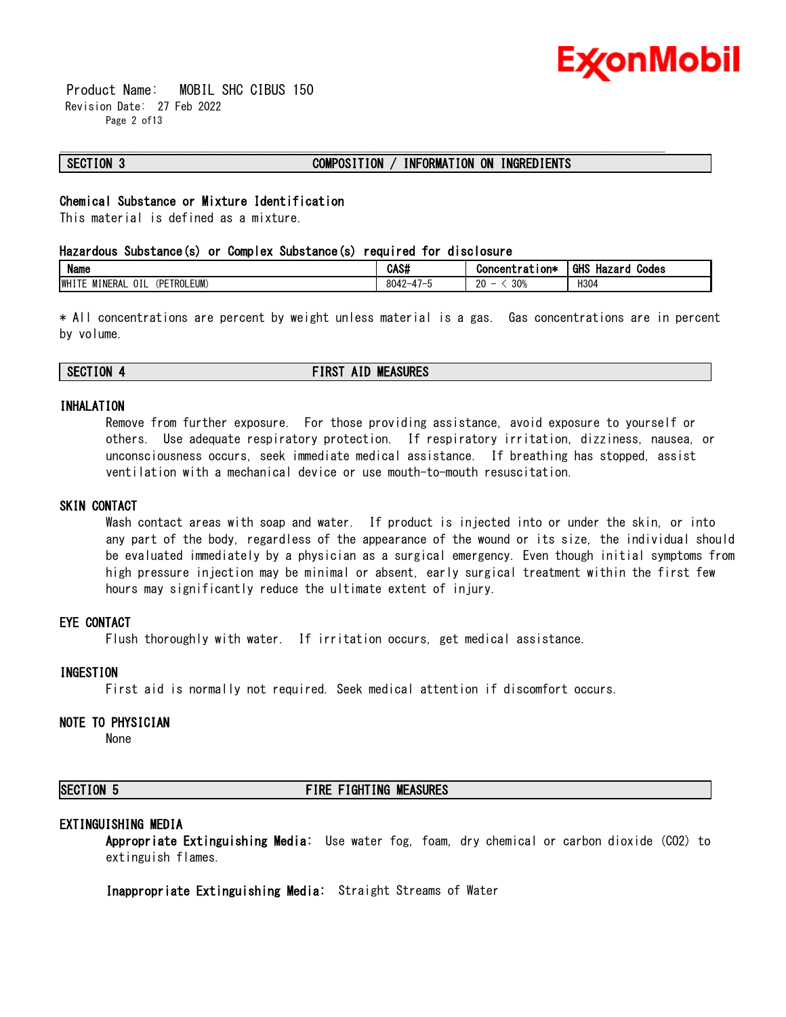

 Product Name: MOBIL SHC CIBUS 150 Revision Date: 27 Feb 2022 Page 2 of13

### **SECTION 3 COMPOSITION / INFORMATION ON INGREDIENTS**

### **Chemical Substance or Mixture Identification**

This material is defined as a mixture.

### **Hazardous Substance(s) or Complex Substance(s) required for disclosure**

| <b>Name</b>                                    | CAS#                                    | ∵ion∗<br>Concentrat              | <b>GHS</b><br>Hazaro<br>Codes |
|------------------------------------------------|-----------------------------------------|----------------------------------|-------------------------------|
| (PETROLEUM)<br>OIL<br><b>IWHITE</b><br>MINERAL | $\overline{\phantom{a}}$<br>8042-<br>ັບ | 30%<br>$\sim$<br>-<br>ບ∪∌<br>2V. | H304                          |

\_\_\_\_\_\_\_\_\_\_\_\_\_\_\_\_\_\_\_\_\_\_\_\_\_\_\_\_\_\_\_\_\_\_\_\_\_\_\_\_\_\_\_\_\_\_\_\_\_\_\_\_\_\_\_\_\_\_\_\_\_\_\_\_\_\_\_\_\_\_\_\_\_\_\_\_\_\_\_\_\_\_\_\_\_\_\_\_\_\_\_\_\_\_\_\_\_\_\_\_\_\_\_\_\_\_\_\_\_\_\_\_\_\_\_\_\_\_

\* All concentrations are percent by weight unless material is a gas. Gas concentrations are in percent by volume.

### **SECTION 4 FIRST AID MEASURES**

### **INHALATION**

Remove from further exposure. For those providing assistance, avoid exposure to yourself or others. Use adequate respiratory protection. If respiratory irritation, dizziness, nausea, or unconsciousness occurs, seek immediate medical assistance. If breathing has stopped, assist ventilation with a mechanical device or use mouth-to-mouth resuscitation.

### **SKIN CONTACT**

Wash contact areas with soap and water. If product is injected into or under the skin, or into any part of the body, regardless of the appearance of the wound or its size, the individual should be evaluated immediately by a physician as a surgical emergency. Even though initial symptoms from high pressure injection may be minimal or absent, early surgical treatment within the first few hours may significantly reduce the ultimate extent of injury.

### **EYE CONTACT**

Flush thoroughly with water. If irritation occurs, get medical assistance.

### **INGESTION**

First aid is normally not required. Seek medical attention if discomfort occurs.

### **NOTE TO PHYSICIAN**

None

### **SECTION 5 FIRE FIGHTING MEASURES**

### **EXTINGUISHING MEDIA**

**Appropriate Extinguishing Media:** Use water fog, foam, dry chemical or carbon dioxide (CO2) to extinguish flames.

**Inappropriate Extinguishing Media:** Straight Streams of Water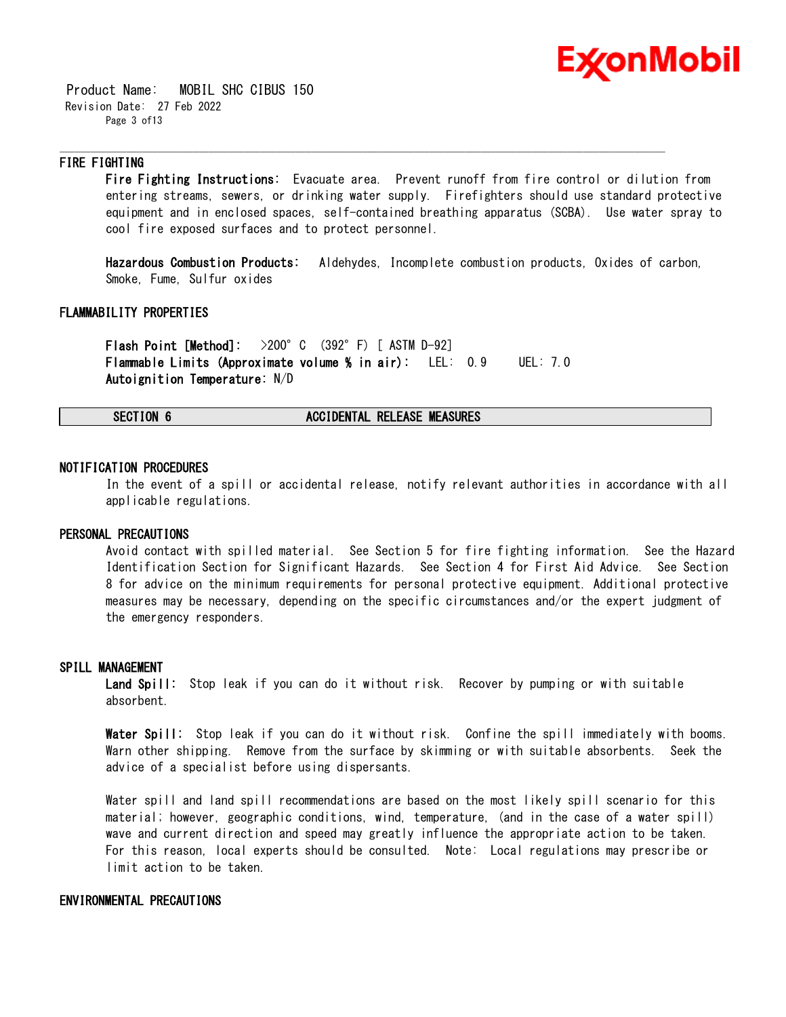

 Product Name: MOBIL SHC CIBUS 150 Revision Date: 27 Feb 2022 Page 3 of13

### **FIRE FIGHTING**

**Fire Fighting Instructions:** Evacuate area. Prevent runoff from fire control or dilution from entering streams, sewers, or drinking water supply. Firefighters should use standard protective equipment and in enclosed spaces, self-contained breathing apparatus (SCBA). Use water spray to cool fire exposed surfaces and to protect personnel.

\_\_\_\_\_\_\_\_\_\_\_\_\_\_\_\_\_\_\_\_\_\_\_\_\_\_\_\_\_\_\_\_\_\_\_\_\_\_\_\_\_\_\_\_\_\_\_\_\_\_\_\_\_\_\_\_\_\_\_\_\_\_\_\_\_\_\_\_\_\_\_\_\_\_\_\_\_\_\_\_\_\_\_\_\_\_\_\_\_\_\_\_\_\_\_\_\_\_\_\_\_\_\_\_\_\_\_\_\_\_\_\_\_\_\_\_\_\_

**Hazardous Combustion Products:** Aldehydes, Incomplete combustion products, Oxides of carbon, Smoke, Fume, Sulfur oxides

### **FLAMMABILITY PROPERTIES**

**Flash Point [Method]:** >200°C (392°F) [ ASTM D-92] **Flammable Limits (Approximate volume % in air):** LEL: 0.9 UEL: 7.0 **Autoignition Temperature:** N/D

### **SECTION 6 ACCIDENTAL RELEASE MEASURES**

### **NOTIFICATION PROCEDURES**

In the event of a spill or accidental release, notify relevant authorities in accordance with all applicable regulations.

### **PERSONAL PRECAUTIONS**

Avoid contact with spilled material. See Section 5 for fire fighting information. See the Hazard Identification Section for Significant Hazards. See Section 4 for First Aid Advice. See Section 8 for advice on the minimum requirements for personal protective equipment. Additional protective measures may be necessary, depending on the specific circumstances and/or the expert judgment of the emergency responders.

### **SPILL MANAGEMENT**

**Land Spill:** Stop leak if you can do it without risk. Recover by pumping or with suitable absorbent.

**Water Spill:** Stop leak if you can do it without risk. Confine the spill immediately with booms. Warn other shipping. Remove from the surface by skimming or with suitable absorbents. Seek the advice of a specialist before using dispersants.

Water spill and land spill recommendations are based on the most likely spill scenario for this material; however, geographic conditions, wind, temperature, (and in the case of a water spill) wave and current direction and speed may greatly influence the appropriate action to be taken. For this reason, local experts should be consulted. Note: Local regulations may prescribe or limit action to be taken.

### **ENVIRONMENTAL PRECAUTIONS**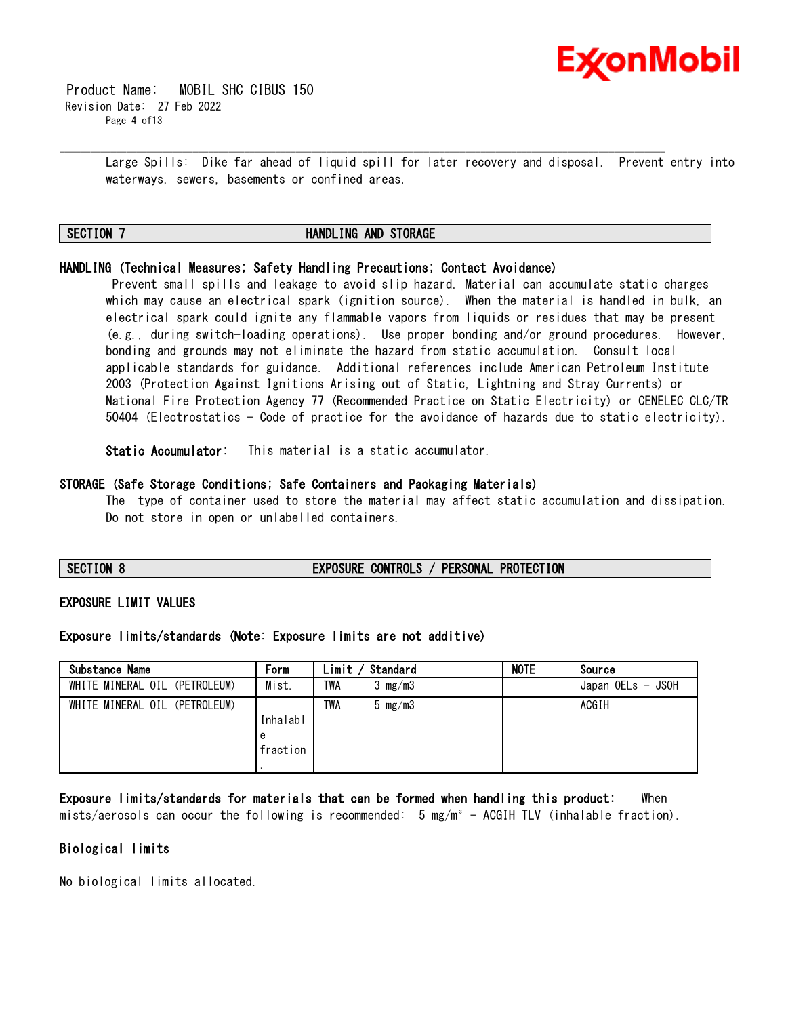

 Product Name: MOBIL SHC CIBUS 150 Revision Date: 27 Feb 2022 Page 4 of13

> Large Spills: Dike far ahead of liquid spill for later recovery and disposal. Prevent entry into waterways, sewers, basements or confined areas.

### **SECTION 7 HANDLING AND STORAGE**

\_\_\_\_\_\_\_\_\_\_\_\_\_\_\_\_\_\_\_\_\_\_\_\_\_\_\_\_\_\_\_\_\_\_\_\_\_\_\_\_\_\_\_\_\_\_\_\_\_\_\_\_\_\_\_\_\_\_\_\_\_\_\_\_\_\_\_\_\_\_\_\_\_\_\_\_\_\_\_\_\_\_\_\_\_\_\_\_\_\_\_\_\_\_\_\_\_\_\_\_\_\_\_\_\_\_\_\_\_\_\_\_\_\_\_\_\_\_

### **HANDLING (Technical Measures; Safety Handling Precautions; Contact Avoidance)**

Prevent small spills and leakage to avoid slip hazard. Material can accumulate static charges which may cause an electrical spark (ignition source). When the material is handled in bulk, an electrical spark could ignite any flammable vapors from liquids or residues that may be present (e.g., during switch-loading operations). Use proper bonding and/or ground procedures. However, bonding and grounds may not eliminate the hazard from static accumulation. Consult local applicable standards for guidance. Additional references include American Petroleum Institute 2003 (Protection Against Ignitions Arising out of Static, Lightning and Stray Currents) or National Fire Protection Agency 77 (Recommended Practice on Static Electricity) or CENELEC CLC/TR 50404 (Electrostatics - Code of practice for the avoidance of hazards due to static electricity).

**Static Accumulator:** This material is a static accumulator.

### **STORAGE (Safe Storage Conditions; Safe Containers and Packaging Materials)**

The type of container used to store the material may affect static accumulation and dissipation. Do not store in open or unlabelled containers.

**SECTION 8 EXPOSURE CONTROLS / PERSONAL PROTECTION**

### **EXPOSURE LIMIT VALUES**

### **Exposure limits/standards (Note: Exposure limits are not additive)**

| Substance Name                | Form                      | Limit / | Standard                  | <b>NOTE</b> | Source            |
|-------------------------------|---------------------------|---------|---------------------------|-------------|-------------------|
| WHITE MINERAL OIL (PETROLEUM) | Mist.                     | TWA     | $3 \, \text{mg}/\text{m}$ |             | Japan OELs - JSOH |
| WHITE MINERAL OIL (PETROLEUM) | Inhalabl<br>e<br>fraction | TWA     | 5 $mg/m3$                 |             | ACGIH             |

**Exposure limits/standards for materials that can be formed when handling this product:** When mists/aerosols can occur the following is recommended:  $5 \text{ mg/m}^3$  - ACGIH TLV (inhalable fraction).

### **Biological limits**

No biological limits allocated.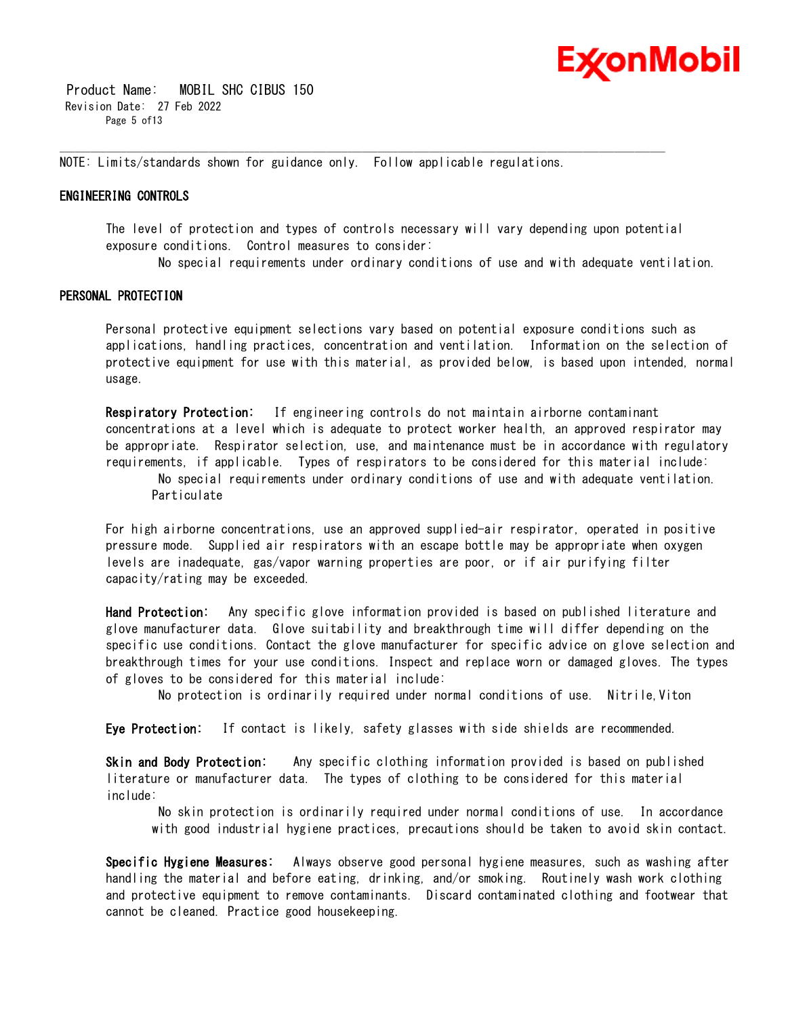

 Product Name: MOBIL SHC CIBUS 150 Revision Date: 27 Feb 2022 Page 5 of 13

NOTE: Limits/standards shown for guidance only. Follow applicable regulations.

\_\_\_\_\_\_\_\_\_\_\_\_\_\_\_\_\_\_\_\_\_\_\_\_\_\_\_\_\_\_\_\_\_\_\_\_\_\_\_\_\_\_\_\_\_\_\_\_\_\_\_\_\_\_\_\_\_\_\_\_\_\_\_\_\_\_\_\_\_\_\_\_\_\_\_\_\_\_\_\_\_\_\_\_\_\_\_\_\_\_\_\_\_\_\_\_\_\_\_\_\_\_\_\_\_\_\_\_\_\_\_\_\_\_\_\_\_\_

### **ENGINEERING CONTROLS**

The level of protection and types of controls necessary will vary depending upon potential exposure conditions. Control measures to consider:

No special requirements under ordinary conditions of use and with adequate ventilation.

### **PERSONAL PROTECTION**

Personal protective equipment selections vary based on potential exposure conditions such as applications, handling practices, concentration and ventilation. Information on the selection of protective equipment for use with this material, as provided below, is based upon intended, normal usage.

**Respiratory Protection:** If engineering controls do not maintain airborne contaminant concentrations at a level which is adequate to protect worker health, an approved respirator may be appropriate. Respirator selection, use, and maintenance must be in accordance with regulatory requirements, if applicable. Types of respirators to be considered for this material include:

No special requirements under ordinary conditions of use and with adequate ventilation. Particulate

For high airborne concentrations, use an approved supplied-air respirator, operated in positive pressure mode. Supplied air respirators with an escape bottle may be appropriate when oxygen levels are inadequate, gas/vapor warning properties are poor, or if air purifying filter capacity/rating may be exceeded.

**Hand Protection:** Any specific glove information provided is based on published literature and glove manufacturer data. Glove suitability and breakthrough time will differ depending on the specific use conditions. Contact the glove manufacturer for specific advice on glove selection and breakthrough times for your use conditions. Inspect and replace worn or damaged gloves. The types of gloves to be considered for this material include:

No protection is ordinarily required under normal conditions of use. Nitrile,Viton

**Eye Protection:** If contact is likely, safety glasses with side shields are recommended.

**Skin and Body Protection:** Any specific clothing information provided is based on published literature or manufacturer data. The types of clothing to be considered for this material include:

No skin protection is ordinarily required under normal conditions of use. In accordance with good industrial hygiene practices, precautions should be taken to avoid skin contact.

**Specific Hygiene Measures:** Always observe good personal hygiene measures, such as washing after handling the material and before eating, drinking, and/or smoking. Routinely wash work clothing and protective equipment to remove contaminants. Discard contaminated clothing and footwear that cannot be cleaned. Practice good housekeeping.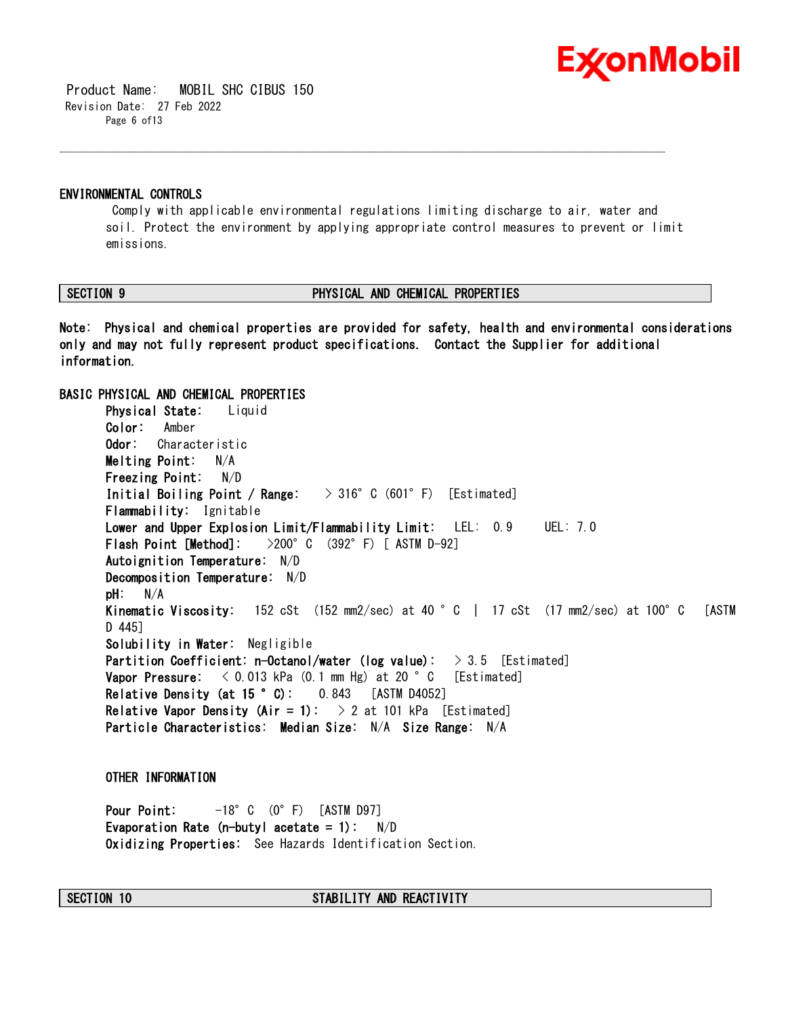

 Product Name: MOBIL SHC CIBUS 150 Revision Date: 27 Feb 2022 Page 6 of13

### **ENVIRONMENTAL CONTROLS**

Comply with applicable environmental regulations limiting discharge to air, water and soil. Protect the environment by applying appropriate control measures to prevent or limit emissions.

\_\_\_\_\_\_\_\_\_\_\_\_\_\_\_\_\_\_\_\_\_\_\_\_\_\_\_\_\_\_\_\_\_\_\_\_\_\_\_\_\_\_\_\_\_\_\_\_\_\_\_\_\_\_\_\_\_\_\_\_\_\_\_\_\_\_\_\_\_\_\_\_\_\_\_\_\_\_\_\_\_\_\_\_\_\_\_\_\_\_\_\_\_\_\_\_\_\_\_\_\_\_\_\_\_\_\_\_\_\_\_\_\_\_\_\_\_\_

### **SECTION 9 PHYSICAL AND CHEMICAL PROPERTIES**

**Note: Physical and chemical properties are provided for safety, health and environmental considerations only and may not fully represent product specifications. Contact the Supplier for additional information.**

### **BASIC PHYSICAL AND CHEMICAL PROPERTIES**

**Physical State:** Liquid **Color:** Amber **Odor:** Characteristic **Melting Point:** N/A **Freezing Point:** N/D **Initial Boiling Point / Range:** > 316°C (601°F) [Estimated] **Flammability:** Ignitable **Lower and Upper Explosion Limit/Flammability Limit:** LEL: 0.9 UEL: 7.0 **Flash Point [Method]:** >200°C (392°F) [ ASTM D-92] **Autoignition Temperature:** N/D **Decomposition Temperature:** N/D **pH:** N/A **Kinematic Viscosity:** 152 cSt (152 mm2/sec) at 40 °C | 17 cSt (17 mm2/sec) at 100°C [ASTM D 445] **Solubility in Water:** Negligible **Partition Coefficient: n-Octanol/water (log value):** > 3.5 [Estimated] **Vapor Pressure:** < 0.013 kPa (0.1 mm Hg) at 20 °C [Estimated] **Relative Density (at 15 °C):** 0.843 [ASTM D4052] **Relative Vapor Density (Air = 1):**  $> 2$  at 101 kPa [Estimated] **Particle Characteristics: Median Size:** N/A **Size Range:** N/A

### **OTHER INFORMATION**

**Pour Point:** -18°C (0°F) [ASTM D97] **Evaporation Rate (n-butyl acetate = 1):** N/D **Oxidizing Properties:** See Hazards Identification Section.

### **SECTION 10 STABILITY AND REACTIVITY**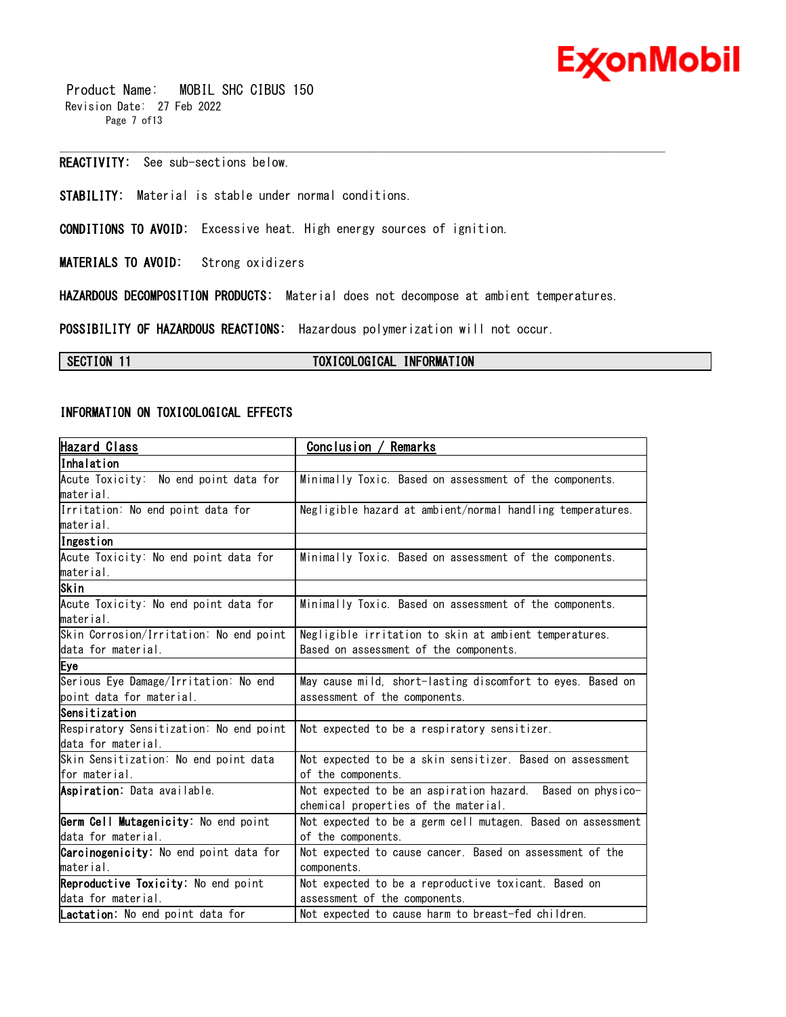

 Product Name: MOBIL SHC CIBUS 150 Revision Date: 27 Feb 2022 Page 7 of13

**REACTIVITY:** See sub-sections below.

**STABILITY:** Material is stable under normal conditions.

**CONDITIONS TO AVOID:** Excessive heat. High energy sources of ignition.

**MATERIALS TO AVOID:** Strong oxidizers

**HAZARDOUS DECOMPOSITION PRODUCTS:** Material does not decompose at ambient temperatures.

\_\_\_\_\_\_\_\_\_\_\_\_\_\_\_\_\_\_\_\_\_\_\_\_\_\_\_\_\_\_\_\_\_\_\_\_\_\_\_\_\_\_\_\_\_\_\_\_\_\_\_\_\_\_\_\_\_\_\_\_\_\_\_\_\_\_\_\_\_\_\_\_\_\_\_\_\_\_\_\_\_\_\_\_\_\_\_\_\_\_\_\_\_\_\_\_\_\_\_\_\_\_\_\_\_\_\_\_\_\_\_\_\_\_\_\_\_\_

**POSSIBILITY OF HAZARDOUS REACTIONS:** Hazardous polymerization will not occur.

### **SECTION 11 TOXICOLOGICAL INFORMATION**

### **INFORMATION ON TOXICOLOGICAL EFFECTS**

| Hazard Class                            | Conclusion / Remarks                                        |
|-----------------------------------------|-------------------------------------------------------------|
| lInhalation                             |                                                             |
| Acute Toxicity: No end point data for   | Minimally Toxic. Based on assessment of the components.     |
| material.                               |                                                             |
| Irritation: No end point data for       | Negligible hazard at ambient/normal handling temperatures.  |
| material.                               |                                                             |
| Ingestion                               |                                                             |
| Acute Toxicity: No end point data for   | Minimally Toxic. Based on assessment of the components.     |
| material.                               |                                                             |
| Skin                                    |                                                             |
| Acute Toxicity: No end point data for   | Minimally Toxic. Based on assessment of the components.     |
| lmaterial.                              |                                                             |
| Skin Corrosion/Irritation: No end point | Negligible irritation to skin at ambient temperatures.      |
| data for material.                      | Based on assessment of the components.                      |
| Eye                                     |                                                             |
| Serious Eye Damage/Irritation: No end   | May cause mild, short-lasting discomfort to eyes. Based on  |
| point data for material.                | assessment of the components.                               |
| Sensitization                           |                                                             |
| Respiratory Sensitization: No end point | Not expected to be a respiratory sensitizer.                |
| data for material.                      |                                                             |
| Skin Sensitization: No end point data   | Not expected to be a skin sensitizer. Based on assessment   |
| for material.                           | of the components.                                          |
| Aspiration: Data available.             | Not expected to be an aspiration hazard. Based on physico-  |
|                                         | chemical properties of the material.                        |
| Germ Cell Mutagenicity: No end point    | Not expected to be a germ cell mutagen. Based on assessment |
| data for material.                      | of the components.                                          |
| Carcinogenicity: No end point data for  | Not expected to cause cancer. Based on assessment of the    |
| material.                               | components.                                                 |
| Reproductive Toxicity: No end point     | Not expected to be a reproductive toxicant. Based on        |
| data for material.                      | assessment of the components.                               |
| Lactation: No end point data for        | Not expected to cause harm to breast-fed children.          |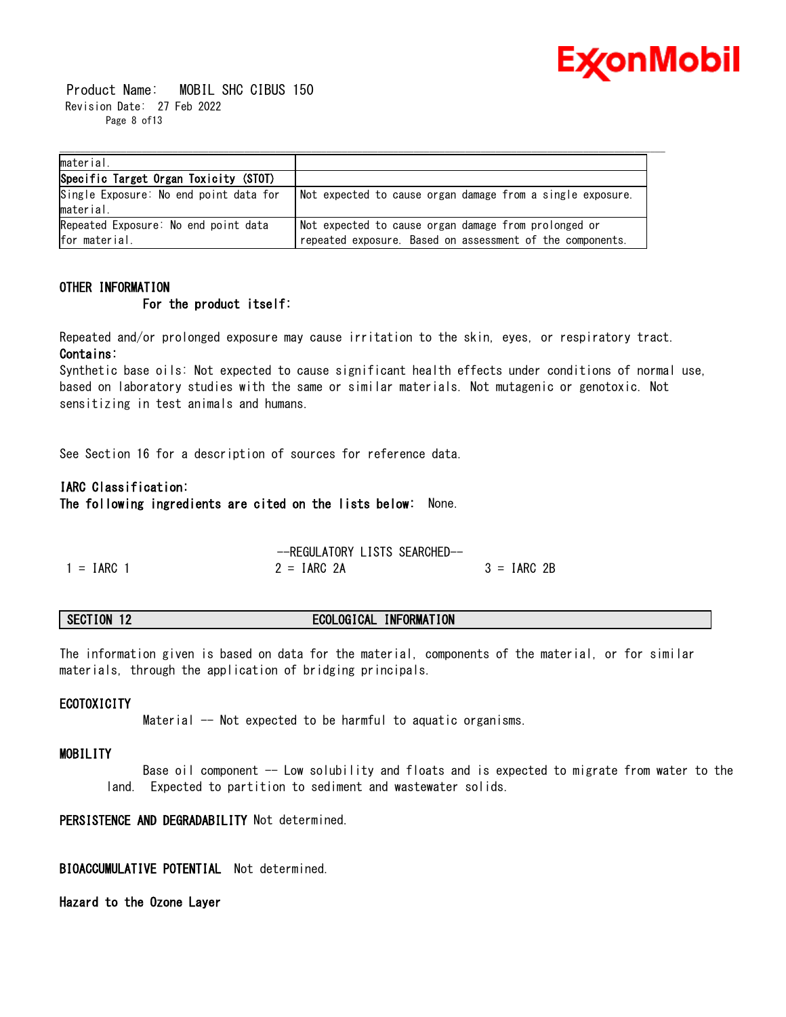

 Product Name: MOBIL SHC CIBUS 150 Revision Date: 27 Feb 2022 Page 8 of 13

| material.                              |                                                            |
|----------------------------------------|------------------------------------------------------------|
| Specific Target Organ Toxicity (STOT)  |                                                            |
| Single Exposure: No end point data for | Not expected to cause organ damage from a single exposure. |
| material.                              |                                                            |
| Repeated Exposure: No end point data   | Not expected to cause organ damage from prolonged or       |
| for material.                          | repeated exposure. Based on assessment of the components.  |

### **OTHER INFORMATION For the product itself:**

Repeated and/or prolonged exposure may cause irritation to the skin, eyes, or respiratory tract. **Contains:**

Synthetic base oils: Not expected to cause significant health effects under conditions of normal use, based on laboratory studies with the same or similar materials. Not mutagenic or genotoxic. Not sensitizing in test animals and humans.

See Section 16 for a description of sources for reference data.

### **IARC Classification:**

**The following ingredients are cited on the lists below:** None.

--REGULATORY LISTS SEARCHED--  $1 = IARC$  1  $2 = IARC$  2A  $3 = IARC$  2B

### **SECTION 12 ECOLOGICAL INFORMATION**

The information given is based on data for the material, components of the material, or for similar materials, through the application of bridging principals.

### **ECOTOXICITY**

Material -- Not expected to be harmful to aquatic organisms.

### **MOBILITY**

Base oil component -- Low solubility and floats and is expected to migrate from water to the land. Expected to partition to sediment and wastewater solids.

### **PERSISTENCE AND DEGRADABILITY** Not determined.

**BIOACCUMULATIVE POTENTIAL** Not determined.

**Hazard to the Ozone Layer**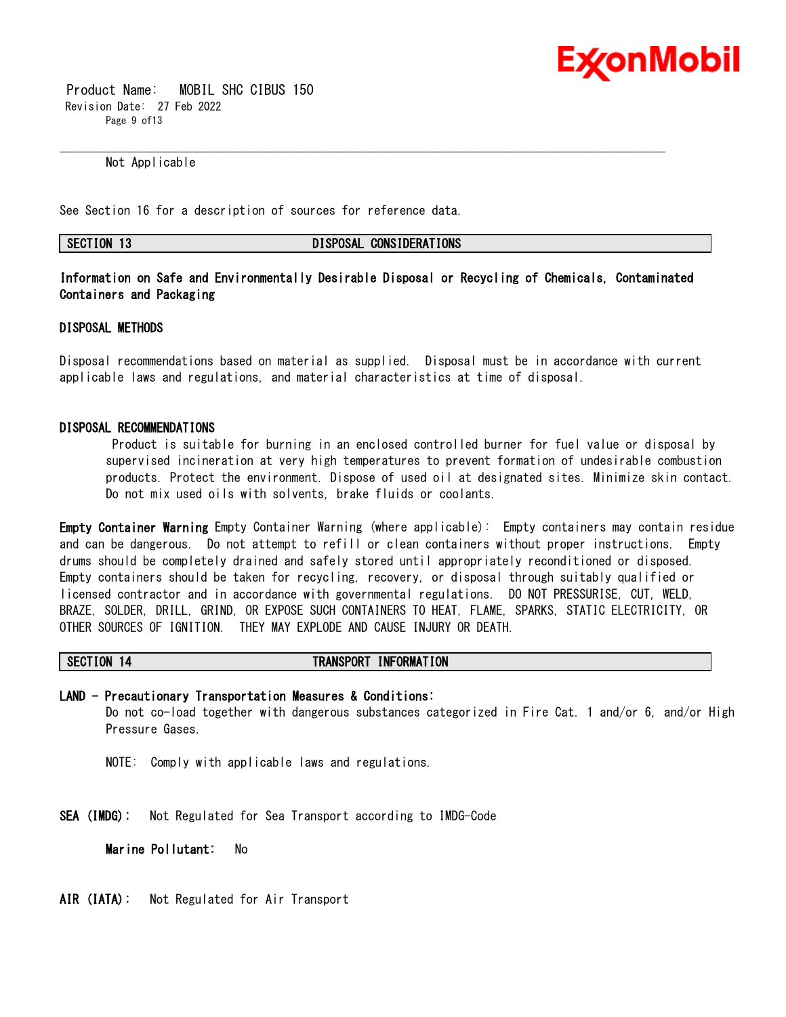

 Product Name: MOBIL SHC CIBUS 150 Revision Date: 27 Feb 2022 Page 9 of 13

Not Applicable

See Section 16 for a description of sources for reference data.

**SECTION 13 DISPOSAL CONSIDERATIONS**

**Information on Safe and Environmentally Desirable Disposal or Recycling of Chemicals, Contaminated Containers and Packaging** 

\_\_\_\_\_\_\_\_\_\_\_\_\_\_\_\_\_\_\_\_\_\_\_\_\_\_\_\_\_\_\_\_\_\_\_\_\_\_\_\_\_\_\_\_\_\_\_\_\_\_\_\_\_\_\_\_\_\_\_\_\_\_\_\_\_\_\_\_\_\_\_\_\_\_\_\_\_\_\_\_\_\_\_\_\_\_\_\_\_\_\_\_\_\_\_\_\_\_\_\_\_\_\_\_\_\_\_\_\_\_\_\_\_\_\_\_\_\_

### **DISPOSAL METHODS**

Disposal recommendations based on material as supplied. Disposal must be in accordance with current applicable laws and regulations, and material characteristics at time of disposal.

### **DISPOSAL RECOMMENDATIONS**

Product is suitable for burning in an enclosed controlled burner for fuel value or disposal by supervised incineration at very high temperatures to prevent formation of undesirable combustion products. Protect the environment. Dispose of used oil at designated sites. Minimize skin contact. Do not mix used oils with solvents, brake fluids or coolants.

**Empty Container Warning** Empty Container Warning (where applicable): Empty containers may contain residue and can be dangerous. Do not attempt to refill or clean containers without proper instructions. Empty drums should be completely drained and safely stored until appropriately reconditioned or disposed. Empty containers should be taken for recycling, recovery, or disposal through suitably qualified or licensed contractor and in accordance with governmental regulations. DO NOT PRESSURISE, CUT, WELD, BRAZE, SOLDER, DRILL, GRIND, OR EXPOSE SUCH CONTAINERS TO HEAT, FLAME, SPARKS, STATIC ELECTRICITY, OR OTHER SOURCES OF IGNITION. THEY MAY EXPLODE AND CAUSE INJURY OR DEATH.

### **SECTION 14 TRANSPORT INFORMATION**

**LAND - Precautionary Transportation Measures & Conditions:** Do not co-load together with dangerous substances categorized in Fire Cat. 1 and/or 6, and/or High Pressure Gases.

NOTE: Comply with applicable laws and regulations.

**SEA (IMDG):** Not Regulated for Sea Transport according to IMDG-Code

**Marine Pollutant:** No

**AIR (IATA):** Not Regulated for Air Transport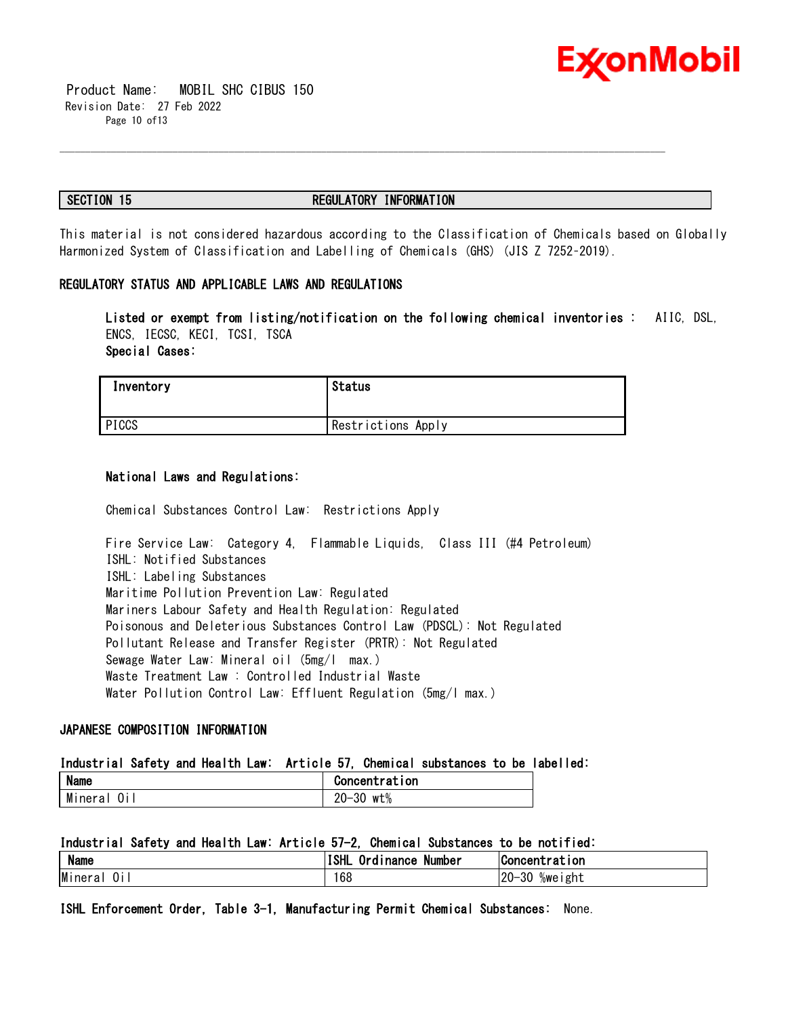

 Product Name: MOBIL SHC CIBUS 150 Revision Date: 27 Feb 2022 Page 10 of13

### **SECTION 15 REGULATORY INFORMATION**

\_\_\_\_\_\_\_\_\_\_\_\_\_\_\_\_\_\_\_\_\_\_\_\_\_\_\_\_\_\_\_\_\_\_\_\_\_\_\_\_\_\_\_\_\_\_\_\_\_\_\_\_\_\_\_\_\_\_\_\_\_\_\_\_\_\_\_\_\_\_\_\_\_\_\_\_\_\_\_\_\_\_\_\_\_\_\_\_\_\_\_\_\_\_\_\_\_\_\_\_\_\_\_\_\_\_\_\_\_\_\_\_\_\_\_\_\_\_

This material is not considered hazardous according to the Classification of Chemicals based on Globally Harmonized System of Classification and Labelling of Chemicals (GHS) (JIS Z 7252–2019).

### **REGULATORY STATUS AND APPLICABLE LAWS AND REGULATIONS**

**Listed or exempt from listing/notification on the following chemical inventories :** AIIC, DSL, ENCS, IECSC, KECI, TCSI, TSCA **Special Cases:**

| Inventory | Status             |
|-----------|--------------------|
| PICCS     | Restrictions Apply |

### **National Laws and Regulations:**

Chemical Substances Control Law: Restrictions Apply

Fire Service Law: Category 4, Flammable Liquids, Class III (#4 Petroleum) ISHL: Notified Substances ISHL: Labeling Substances Maritime Pollution Prevention Law: Regulated Mariners Labour Safety and Health Regulation: Regulated Poisonous and Deleterious Substances Control Law (PDSCL): Not Regulated Pollutant Release and Transfer Register (PRTR): Not Regulated Sewage Water Law: Mineral oil (5mg/l max.) Waste Treatment Law : Controlled Industrial Waste Water Pollution Control Law: Effluent Regulation (5mg/l max.)

### **JAPANESE COMPOSITION INFORMATION**

### **Industrial Safety and Health Law: Article 57, Chemical substances to be labelled:**

| <b>Name</b> | Concentration |
|-------------|---------------|
| Mineral     | wt%           |
| 0i          | $20 - 30$     |

### **Industrial Safety and Health Law: Article 57-2, Chemical Substances to be notified:**

| <b>Name</b>  | <b>ISHL</b><br>Ordinance<br>Number | tration<br>IConcentr                |
|--------------|------------------------------------|-------------------------------------|
| Minera<br>U١ | 68                                 | $20 -$<br>ററ<br>/we<br>ı ght<br>۰ડU |

**ISHL Enforcement Order, Table 3-1, Manufacturing Permit Chemical Substances:** None.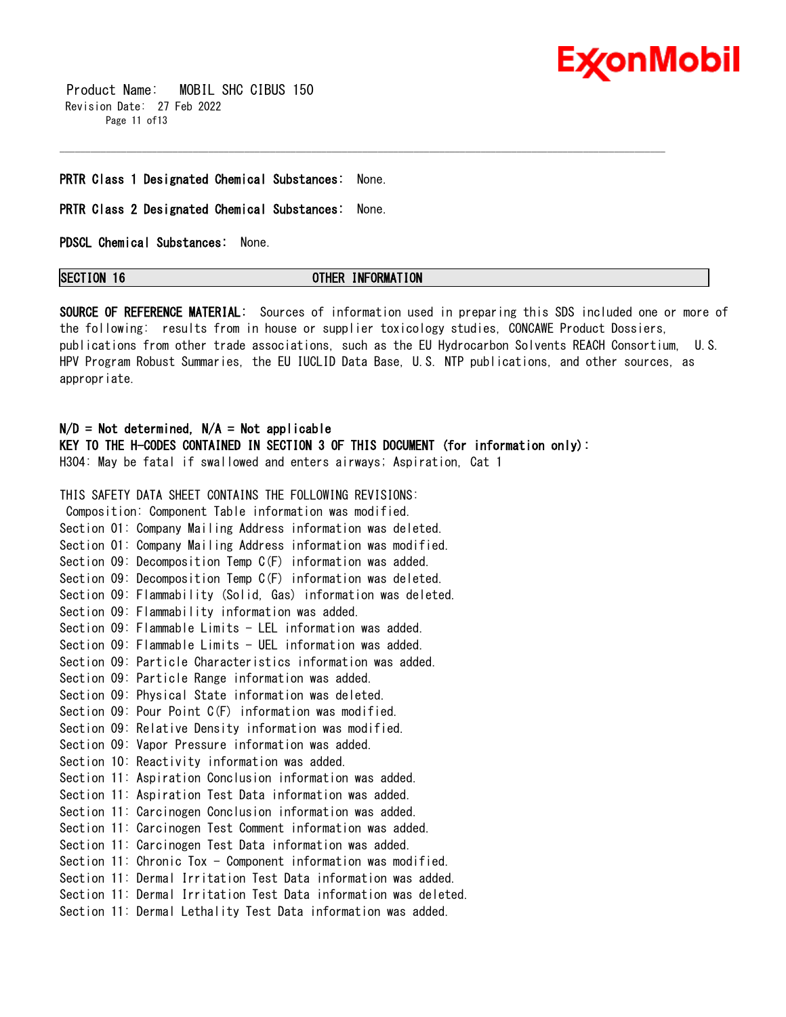

 Product Name: MOBIL SHC CIBUS 150 Revision Date: 27 Feb 2022 Page 11 of 13

### **PRTR Class 1 Designated Chemical Substances:** None.

### **PRTR Class 2 Designated Chemical Substances:** None.

**PDSCL Chemical Substances:** None.

### **SECTION 16 OTHER INFORMATION**

\_\_\_\_\_\_\_\_\_\_\_\_\_\_\_\_\_\_\_\_\_\_\_\_\_\_\_\_\_\_\_\_\_\_\_\_\_\_\_\_\_\_\_\_\_\_\_\_\_\_\_\_\_\_\_\_\_\_\_\_\_\_\_\_\_\_\_\_\_\_\_\_\_\_\_\_\_\_\_\_\_\_\_\_\_\_\_\_\_\_\_\_\_\_\_\_\_\_\_\_\_\_\_\_\_\_\_\_\_\_\_\_\_\_\_\_\_\_

**SOURCE OF REFERENCE MATERIAL:** Sources of information used in preparing this SDS included one or more of the following: results from in house or supplier toxicology studies, CONCAWE Product Dossiers, publications from other trade associations, such as the EU Hydrocarbon Solvents REACH Consortium, U.S. HPV Program Robust Summaries, the EU IUCLID Data Base, U.S. NTP publications, and other sources, as appropriate.

### **N/D = Not determined, N/A = Not applicable**

**KEY TO THE H-CODES CONTAINED IN SECTION 3 OF THIS DOCUMENT (for information only):** H304: May be fatal if swallowed and enters airways; Aspiration, Cat 1

### THIS SAFETY DATA SHEET CONTAINS THE FOLLOWING REVISIONS:

Composition: Component Table information was modified. Section 01: Company Mailing Address information was deleted. Section 01: Company Mailing Address information was modified. Section 09: Decomposition Temp C(F) information was added. Section 09: Decomposition Temp C(F) information was deleted. Section 09: Flammability (Solid, Gas) information was deleted. Section 09: Flammability information was added. Section 09: Flammable Limits - LEL information was added. Section 09: Flammable Limits - UEL information was added. Section 09: Particle Characteristics information was added. Section 09: Particle Range information was added. Section 09: Physical State information was deleted. Section 09: Pour Point C(F) information was modified. Section 09: Relative Density information was modified. Section 09: Vapor Pressure information was added. Section 10: Reactivity information was added. Section 11: Aspiration Conclusion information was added. Section 11: Aspiration Test Data information was added. Section 11: Carcinogen Conclusion information was added. Section 11: Carcinogen Test Comment information was added. Section 11: Carcinogen Test Data information was added. Section 11: Chronic Tox - Component information was modified. Section 11: Dermal Irritation Test Data information was added. Section 11: Dermal Irritation Test Data information was deleted. Section 11: Dermal Lethality Test Data information was added.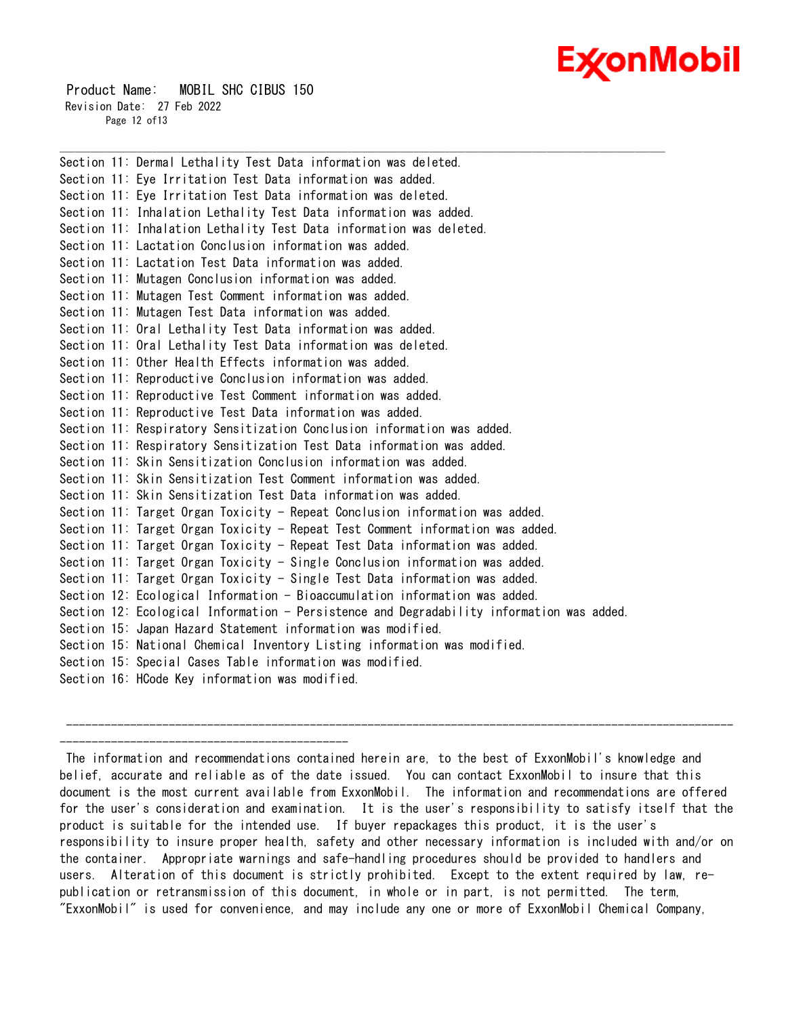# Ex⁄onMobil

 Product Name: MOBIL SHC CIBUS 150 Revision Date: 27 Feb 2022 Page 12 of13

---------------------------------------------

Section 11: Dermal Lethality Test Data information was deleted. Section 11: Eye Irritation Test Data information was added. Section 11: Eye Irritation Test Data information was deleted. Section 11: Inhalation Lethality Test Data information was added. Section 11: Inhalation Lethality Test Data information was deleted. Section 11: Lactation Conclusion information was added. Section 11: Lactation Test Data information was added. Section 11: Mutagen Conclusion information was added. Section 11: Mutagen Test Comment information was added. Section 11: Mutagen Test Data information was added. Section 11: Oral Lethality Test Data information was added. Section 11: Oral Lethality Test Data information was deleted. Section 11: Other Health Effects information was added. Section 11: Reproductive Conclusion information was added. Section 11: Reproductive Test Comment information was added. Section 11: Reproductive Test Data information was added. Section 11: Respiratory Sensitization Conclusion information was added. Section 11: Respiratory Sensitization Test Data information was added. Section 11: Skin Sensitization Conclusion information was added. Section 11: Skin Sensitization Test Comment information was added. Section 11: Skin Sensitization Test Data information was added. Section 11: Target Organ Toxicity - Repeat Conclusion information was added. Section 11: Target Organ Toxicity - Repeat Test Comment information was added. Section 11: Target Organ Toxicity - Repeat Test Data information was added. Section 11: Target Organ Toxicity - Single Conclusion information was added. Section 11: Target Organ Toxicity - Single Test Data information was added. Section 12: Ecological Information - Bioaccumulation information was added. Section 12: Ecological Information - Persistence and Degradability information was added. Section 15: Japan Hazard Statement information was modified. Section 15: National Chemical Inventory Listing information was modified. Section 15: Special Cases Table information was modified. Section 16: HCode Key information was modified.

\_\_\_\_\_\_\_\_\_\_\_\_\_\_\_\_\_\_\_\_\_\_\_\_\_\_\_\_\_\_\_\_\_\_\_\_\_\_\_\_\_\_\_\_\_\_\_\_\_\_\_\_\_\_\_\_\_\_\_\_\_\_\_\_\_\_\_\_\_\_\_\_\_\_\_\_\_\_\_\_\_\_\_\_\_\_\_\_\_\_\_\_\_\_\_\_\_\_\_\_\_\_\_\_\_\_\_\_\_\_\_\_\_\_\_\_\_\_

The information and recommendations contained herein are, to the best of ExxonMobil's knowledge and belief, accurate and reliable as of the date issued. You can contact ExxonMobil to insure that this document is the most current available from ExxonMobil. The information and recommendations are offered for the user's consideration and examination. It is the user's responsibility to satisfy itself that the product is suitable for the intended use. If buyer repackages this product, it is the user's responsibility to insure proper health, safety and other necessary information is included with and/or on the container. Appropriate warnings and safe-handling procedures should be provided to handlers and users. Alteration of this document is strictly prohibited. Except to the extent required by law, republication or retransmission of this document, in whole or in part, is not permitted. The term, "ExxonMobil" is used for convenience, and may include any one or more of ExxonMobil Chemical Company,

--------------------------------------------------------------------------------------------------------